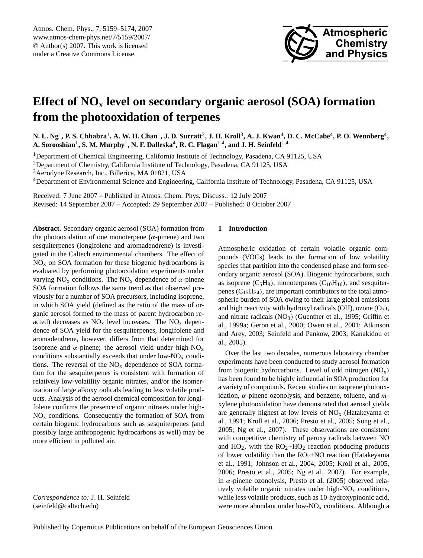

# <span id="page-0-0"></span>**Effect of NO**<sup>x</sup> **level on secondary organic aerosol (SOA) formation from the photooxidation of terpenes**

 $N$ . L. Ng<sup>1</sup>, P. S. Chhabra<sup>1</sup>, A. W. H. Chan<sup>1</sup>, J. D. Surratt<sup>2</sup>, J. H. Kroll<sup>3</sup>, A. J. Kwan<sup>4</sup>, D. C. McCabe<sup>4</sup>, P. O. Wennberg<sup>4</sup>,  $\mathbf{A. Sorooshian}^{1}, \mathbf{S. M. Murphy}^{1}, \mathbf{N. F. Dalleska}^{4}, \mathbf{R. C. Flagan}^{1,4}, \text{and J. H. Seinfeld}^{1,4}$ 

<sup>1</sup>Department of Chemical Engineering, California Institute of Technology, Pasadena, CA 91125, USA

<sup>2</sup>Department of Chemistry, California Institute of Technology, Pasadena, CA 91125, USA

<sup>3</sup> Aerodyne Research, Inc., Billerica, MA 01821, USA

<sup>4</sup>Department of Environmental Science and Engineering, California Institute of Technology, Pasadena, CA 91125, USA

Received: 7 June 2007 – Published in Atmos. Chem. Phys. Discuss.: 12 July 2007 Revised: 14 September 2007 – Accepted: 29 September 2007 – Published: 8 October 2007

**Abstract.** Secondary organic aerosol (SOA) formation from the photooxidation of one monoterpene  $(\alpha$ -pinene) and two sesquiterpenes (longifolene and aromadendrene) is investigated in the Caltech environmental chambers. The effect of  $NO<sub>x</sub>$  on SOA formation for these biogenic hydrocarbons is evaluated by performing photooxidation experiments under varying  $NO_x$  conditions. The  $NO_x$  dependence of  $\alpha$ -pinene SOA formation follows the same trend as that observed previously for a number of SOA precursors, including isoprene, in which SOA yield (defined as the ratio of the mass of organic aerosol formed to the mass of parent hydrocarbon reacted) decreases as  $NO<sub>x</sub>$  level increases. The  $NO<sub>x</sub>$  dependence of SOA yield for the sesquiterpenes, longifolene and aromadendrene, however, differs from that determined for isoprene and  $\alpha$ -pinene; the aerosol yield under high-NO<sub>x</sub> conditions substantially exceeds that under low- $NO<sub>x</sub>$  conditions. The reversal of the  $NO<sub>x</sub>$  dependence of SOA formation for the sesquiterpenes is consistent with formation of relatively low-volatility organic nitrates, and/or the isomerization of large alkoxy radicals leading to less volatile products. Analysis of the aerosol chemical composition for longifolene confirms the presence of organic nitrates under high- $NO<sub>x</sub>$  conditions. Consequently the formation of SOA from certain biogenic hydrocarbons such as sesquiterpenes (and possibly large anthropogenic hydrocarbons as well) may be more efficient in polluted air.

# **1 Introduction**

Atmospheric oxidation of certain volatile organic compounds (VOCs) leads to the formation of low volatility species that partition into the condensed phase and form secondary organic aerosol (SOA). Biogenic hydrocarbons, such as isoprene  $(C_5H_8)$ , monoterpenes  $(C_{10}H_{16})$ , and sesquiterpenes  $(C_{15}H_{24})$ , are important contributors to the total atmospheric burden of SOA owing to their large global emissions and high reactivity with hydroxyl radicals (OH), ozone  $(O_3)$ , and nitrate radicals  $(NO<sub>3</sub>)$  (Guenther et al., 1995; Griffin et al., 1999a; Geron et al., 2000; Owen et al., 2001; Atkinson and Arey, 2003; Seinfeld and Pankow, 2003; Kanakidou et al., 2005).

Over the last two decades, numerous laboratory chamber experiments have been conducted to study aerosol formation from biogenic hydrocarbons. Level of odd nitrogen  $(NO<sub>x</sub>)$ has been found to be highly influential in SOA production for a variety of compounds. Recent studies on isoprene photooxidation,  $\alpha$ -pinene ozonolysis, and benzene, toluene, and mxylene photooxidation have demonstrated that aerosol yields are generally highest at low levels of  $NO<sub>x</sub>$  (Hatakeyama et al., 1991; Kroll et al., 2006; Presto et al., 2005; Song et al., 2005; Ng et al., 2007). These observations are consistent with competitive chemistry of peroxy radicals between NO and  $HO_2$ , with the  $RO_2+HO_2$  reaction producing products of lower volatility than the  $RO<sub>2</sub>+NO$  reaction (Hatakeyama et al., 1991; Johnson et al., 2004, 2005; Kroll et al., 2005, 2006; Presto et al., 2005; Ng et al., 2007). For example, in α-pinene ozonolysis, Presto et al. (2005) observed relatively volatile organic nitrates under high- $NO<sub>x</sub>$  conditions, while less volatile products, such as 10-hydroxypinonic acid, were more abundant under low-NO<sub>x</sub> conditions. Although a

*Correspondence to:* J. H. Seinfeld (seinfeld@caltech.edu)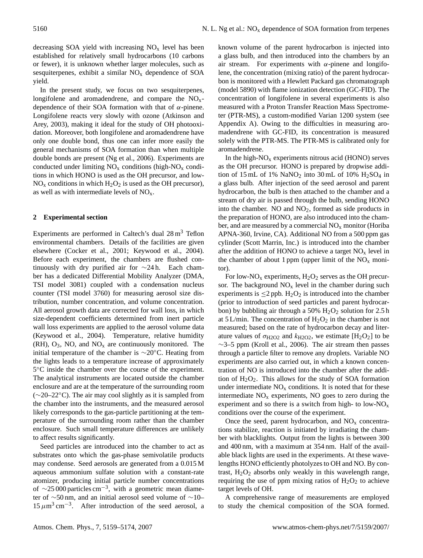decreasing SOA yield with increasing  $NO<sub>x</sub>$  level has been established for relatively small hydrocarbons (10 carbons or fewer), it is unknown whether larger molecules, such as sesquiterpenes, exhibit a similar  $NO<sub>x</sub>$  dependence of SOA yield.

In the present study, we focus on two sesquiterpenes, longifolene and aromadendrene, and compare the  $NO<sub>x</sub>$ dependence of their SOA formation with that of  $\alpha$ -pinene. Longifolene reacts very slowly with ozone (Atkinson and Arey, 2003), making it ideal for the study of OH photooxidation. Moreover, both longifolene and aromadendrene have only one double bond, thus one can infer more easily the general mechanisms of SOA formation than when multiple double bonds are present (Ng et al., 2006). Experiments are conducted under limiting  $NO<sub>x</sub>$  conditions (high- $NO<sub>x</sub>$  conditions in which HONO is used as the OH precursor, and low- $NO<sub>x</sub>$  conditions in which  $H<sub>2</sub>O<sub>2</sub>$  is used as the OH precursor), as well as with intermediate levels of  $NO<sub>x</sub>$ .

## **2 Experimental section**

Experiments are performed in Caltech's dual  $28 \text{ m}^3$  Teflon environmental chambers. Details of the facilities are given elsewhere (Cocker et al., 2001; Keywood et al., 2004). Before each experiment, the chambers are flushed continuously with dry purified air for ∼24 h. Each chamber has a dedicated Differential Mobility Analyzer (DMA, TSI model 3081) coupled with a condensation nucleus counter (TSI model 3760) for measuring aerosol size distribution, number concentration, and volume concentration. All aerosol growth data are corrected for wall loss, in which size-dependent coefficients determined from inert particle wall loss experiments are applied to the aerosol volume data (Keywood et al., 2004). Temperature, relative humidity  $(RH)$ ,  $O_3$ , NO, and  $NO_x$  are continuously monitored. The initial temperature of the chamber is ∼20◦C. Heating from the lights leads to a temperature increase of approximately 5 ◦C inside the chamber over the course of the experiment. The analytical instruments are located outside the chamber enclosure and are at the temperature of the surrounding room (∼20–22◦C). The air may cool slightly as it is sampled from the chamber into the instruments, and the measured aerosol likely corresponds to the gas-particle partitioning at the temperature of the surrounding room rather than the chamber enclosure. Such small temperature differences are unlikely to affect results significantly.

Seed particles are introduced into the chamber to act as substrates onto which the gas-phase semivolatile products may condense. Seed aerosols are generated from a 0.015 M aqueous ammonium sulfate solution with a constant-rate atomizer, producing initial particle number concentrations of  $\sim$ 25 000 particles cm<sup>-3</sup>, with a geometric mean diameter of ∼50 nm, and an initial aerosol seed volume of ∼10–  $15 \mu m^3$  cm<sup>-3</sup>. After introduction of the seed aerosol, a

known volume of the parent hydrocarbon is injected into a glass bulb, and then introduced into the chambers by an air stream. For experiments with  $\alpha$ -pinene and longifolene, the concentration (mixing ratio) of the parent hydrocarbon is monitored with a Hewlett Packard gas chromatograph (model 5890) with flame ionization detection (GC-FID). The concentration of longifolene in several experiments is also measured with a Proton Transfer Reaction Mass Spectrometer (PTR-MS), a custom-modified Varian 1200 system (see Appendix A). Owing to the difficulties in measuring aromadendrene with GC-FID, its concentration is measured solely with the PTR-MS. The PTR-MS is calibrated only for aromadendrene.

In the high- $NO<sub>x</sub>$  experiments nitrous acid (HONO) serves as the OH precursor. HONO is prepared by dropwise addition of 15 mL of 1% NaNO<sub>2</sub> into 30 mL of 10%  $H<sub>2</sub>SO<sub>4</sub>$  in a glass bulb. After injection of the seed aerosol and parent hydrocarbon, the bulb is then attached to the chamber and a stream of dry air is passed through the bulb, sending HONO into the chamber. NO and  $NO<sub>2</sub>$ , formed as side products in the preparation of HONO, are also introduced into the chamber, and are measured by a commercial  $NO<sub>x</sub>$  monitor (Horiba APNA-360, Irvine, CA). Additional NO from a 500 ppm gas cylinder (Scott Marrin, Inc.) is introduced into the chamber after the addition of HONO to achieve a target  $NO<sub>x</sub>$  level in the chamber of about 1 ppm (upper limit of the  $NO<sub>x</sub>$  monitor).

For low-NO<sub>x</sub> experiments,  $H_2O_2$  serves as the OH precursor. The background  $NO<sub>x</sub>$  level in the chamber during such experiments is  $\leq$ 2 ppb. H<sub>2</sub>O<sub>2</sub> is introduced into the chamber (prior to introduction of seed particles and parent hydrocarbon) by bubbling air through a 50%  $H_2O_2$  solution for 2.5 h at 5 L/min. The concentration of  $H_2O_2$  in the chamber is not measured; based on the rate of hydrocarbon decay and literature values of  $\sigma_{H2O2}$  and  $k_{H2O2}$ , we estimate [H<sub>2</sub>O<sub>2</sub>] to be  $\sim$ 3–5 ppm (Kroll et al., 2006). The air stream then passes through a particle filter to remove any droplets. Variable NO experiments are also carried out, in which a known concentration of NO is introduced into the chamber after the addition of  $H_2O_2$ . This allows for the study of SOA formation under intermediate  $NO<sub>x</sub>$  conditions. It is noted that for these intermediate  $NO<sub>x</sub>$  experiments, NO goes to zero during the experiment and so there is a switch from high- to low- $NO<sub>x</sub>$ conditions over the course of the experiment.

Once the seed, parent hydrocarbon, and  $NO<sub>x</sub>$  concentrations stabilize, reaction is initiated by irradiating the chamber with blacklights. Output from the lights is between 300 and 400 nm, with a maximum at 354 nm. Half of the available black lights are used in the experiments. At these wavelengths HONO efficiently photolyzes to OH and NO. By contrast,  $H_2O_2$  absorbs only weakly in this wavelength range, requiring the use of ppm mixing ratios of  $H_2O_2$  to achieve target levels of OH.

A comprehensive range of measurements are employed to study the chemical composition of the SOA formed.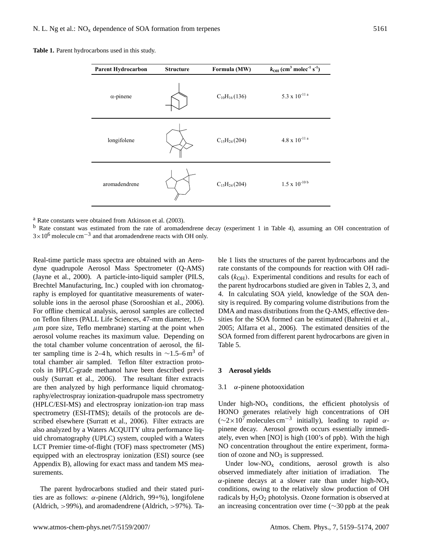| Parent Hydrocarbon | <b>Structure</b> | Formula (MW)        | $k_{OH}$ (cm <sup>3</sup> molec <sup>-1</sup> s <sup>-1</sup> ) |
|--------------------|------------------|---------------------|-----------------------------------------------------------------|
| $\alpha$ -pinene   |                  | $C_{10}H_{16}(136)$ | $5.3 \ge 10^{-11}$ a                                            |
| longifolene        |                  | $C_{15}H_{24}(204)$ | $4.8 \ge 10^{-11}$ a                                            |
| aromadendrene      |                  | $C_{15}H_{24}(204)$ | $1.5$ x $10^{\text{-}10\,\text{b}}$                             |

 $a<sup>a</sup>$  Rate constants were obtained from Atkinson et al. (2003).

<sup>a</sup> Rate constants were obtained from Atkinson et al. (2003).<br><sup>b</sup> Rate constant was estimated from the rate of aromadendrene decay (experiment 1 in Table 4), assuming an OH concentration of  $3 \times 10^6$  molecule cm<sup>-3</sup> and  $3\times 10^6$  molecule cm<sup>-3</sup> and that aromadendrene reacts with OH only.

 $\mu$ m pore size, Teflo membrane) starting at the point when 2005; Alfarra Expt. total chamber air sampled. Teflon filter extraction prototer sampling time is 2–4 h, which results in ∼1.5–6 m<sup>3</sup> of  $\frac{1}{2}$  cols in HPLC-grade methanol have been described previ-<br> $\frac{3}{2}$  Aerosol yields ously (Surratt et al., 2006). The resultant filter extracts are then analyzed by high performance liquid chromatog-  $3.1 \alpha$ -pinene photooxidation  $\frac{1}{4}$  Honorand 475  $\frac{1}{4}$  and  $\frac{1}{4}$ .  $\frac{1}{4}$ . raphy/electrospray ionization-quadrupole mass spectrometry<br>The state of the state of the state of the state of the state of the state of the state of the state of the state of the state of the state of the state of the sta a Stated uncertainties (1σ) include scatter in GC measurements and spectrometry (ESI-ITMS); details of the protocols are described elsewhere (Surratt et al., 2006). Filter extracts are also analyzed by a Waters ACQUITY ultra performance liq- pinene decay. uid chromatography (UPLC) system, coupled with a Waters LCT Premier time-of-flight (TOF) mass spectrometer (MS) NO concentration Real-time particle mass spectra are obtained with an Aerodyne quadrupole Aerosol Mass Spectrometer (Q-AMS) (Jayne et al., 2000). A particle-into-liquid sampler (PILS, Brechtel Manufacturing, Inc.) coupled with ion chromatography is employed for quantitative measurements of watersoluble ions in the aerosol phase (Sorooshian et al., 2006). For offline chemical analysis, aerosol samples are collected on Teflon filters (PALL Life Sciences, 47-mm diameter, 1.0 aerosol volume reaches its maximum value. Depending on the total chamber volume concentration of aerosol, the fil-(HPLC/ESI-MS) and electrospray ionization-ion trap mass equipped with an electrospray ionization (ESI) source (see Appendix B), allowing for exact mass and tandem MS measurements.

The parent hydrocarbons studied and their stated purities are as follows:  $\alpha$ -pinene (Aldrich, 99+%), longifolene (Aldrich, >99%), and aromadendrene (Aldrich, >97%). Table 1 lists the structures of the parent hydrocarbons and the rate constants of the compounds for reaction with OH radicals  $(k<sub>OH</sub>)$ . Experimental conditions and results for each of the parent hydrocarbons studied are given in Tables 2, 3, and 4. In calculating SOA yield, knowledge of the SOA density is required. By comparing volume distributions from the DMA and mass distributions from the Q-AMS, effective densities for the SOA formed can be estimated (Bahreini et al., 2005; Alfarra et al., 2006). The estimated densities of the SOA formed from different parent hydrocarbons are given in Table 5.

#### **3 Aerosol yields**

#### 3.1  $\alpha$ -pinene photooxidation

Under high- $NO<sub>x</sub>$  conditions, the efficient photolysis of HONO generates relatively high concentrations of OH  $(\sim 2 \times 10^7 \text{ molecules cm}^{-3} \text{ initially})$ , leading to rapid  $\alpha$ pinene decay. Aerosol growth occurs essentially immediately, even when [NO] is high (100's of ppb). With the high NO concentration throughout the entire experiment, formation of ozone and  $NO<sub>3</sub>$  is suppressed.

Under low- $NO<sub>x</sub>$  conditions, aerosol growth is also observed immediately after initiation of irradiation. The  $\alpha$ -pinene decays at a slower rate than under high-NO<sub>x</sub> conditions, owing to the relatively slow production of OH radicals by  $H_2O_2$  photolysis. Ozone formation is observed at an increasing concentration over time (∼30 ppb at the peak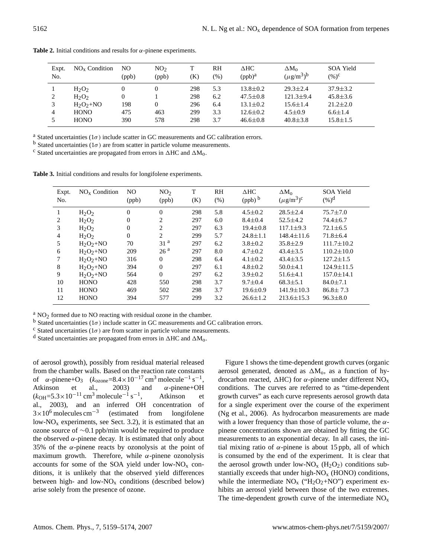| Expt. | $NOx$ Condition                       | NO       | NO <sub>2</sub> | T                 | RH                | $\Delta$ HC                                        | $\Delta M_{\Omega}$                                 | SOA Yield                                          |
|-------|---------------------------------------|----------|-----------------|-------------------|-------------------|----------------------------------------------------|-----------------------------------------------------|----------------------------------------------------|
| No.   |                                       | (ppb)    | (ppb)           | (K)               | $(\%)$            | $(ppb)^a$                                          | $(\mu g/m^3)^b$                                     | $(\%)^c$                                           |
| 2     | $H_2O_2$<br>$H_2O_2$<br>$H_2O_2 + NO$ | 0<br>198 | 0<br>0          | 298<br>298<br>296 | 5.3<br>6.2<br>6.4 | $13.8 \pm 0.2$<br>$47.5 \pm 0.8$<br>$13.1 \pm 0.2$ | $29.3 \pm 2.4$<br>$121.3 \pm 9.4$<br>$15.6 \pm 1.4$ | $37.9 \pm 3.2$<br>$45.8 \pm 3.6$<br>$21.2 \pm 2.0$ |
| 4     | <b>HONO</b>                           | 475      | 463             | 299               | 3.3               | $12.6 \pm 0.2$                                     | $4.5 \pm 0.9$                                       | $6.6 \pm 1.4$                                      |
|       | <b>HONO</b>                           | 390      | 578             | 298               | 3.7               | $46.6 \pm 0.8$                                     | $40.8 \pm 3.8$                                      | $15.8 \pm 1.5$                                     |

**Table 2.** Initial conditions and results for  $\alpha$ -pinene experiments.

<sup>a</sup> Stated uncertainties ( $1\sigma$ ) include scatter in GC measurements and GC calibration errors.

b Stated uncertainties ( $1\sigma$ ) are from scatter in particle volume measurements.

<sup>c</sup> Stated uncertainties are propagated from errors in  $\triangle$ HC and  $\triangle$ M<sub>0</sub>.

**Table 3.** Initial conditions and results for longifolene experiments.

| Expt.<br>No. | $NOx$ Condition | N <sub>O</sub><br>(ppb) | NO <sub>2</sub><br>(ppb) | T<br>(K) | <b>RH</b><br>(% ) | $\triangle$ HC<br>$(ppb)$ <sup>b</sup> | $\Delta M_{\Omega}$<br>$(\mu$ g/m <sup>3</sup> ) <sup>c</sup> | SOA Yield<br>$(%)^d$ |
|--------------|-----------------|-------------------------|--------------------------|----------|-------------------|----------------------------------------|---------------------------------------------------------------|----------------------|
| л.           | $H_2O_2$        | $\theta$                | $\theta$                 | 298      | 5.8               | $4.5 \pm 0.2$                          | $28.5 \pm 2.4$                                                | $75.7 \pm 7.0$       |
| 2            | $H_2O_2$        | $\overline{0}$          | 2                        | 297      | 6.0               | $8.4 \pm 0.4$                          | $52.5 \pm 4.2$                                                | $74.4 \pm 6.7$       |
| 3            | $H_2O_2$        | $\Omega$                | 2                        | 297      | 6.3               | $19.4 \pm 0.8$                         | $117.1 \pm 9.3$                                               | $72.1 \pm 6.5$       |
| 4            | $H_2O_2$        | $\Omega$                | $\overline{c}$           | 299      | 5.7               | $24.8 \pm 1.1$                         | $148.4 \pm 11.6$                                              | $71.8 \pm 6.4$       |
| 5            | $H_2O_2+NO$     | 70                      | 31 <sup>a</sup>          | 297      | 6.2               | $3.8 \pm 0.2$                          | $35.8 \pm 2.9$                                                | $111.7 \pm 10.2$     |
| 6            | $H_2O_2+NO$     | 209                     | 26 <sup>a</sup>          | 297      | 8.0               | $4.7 \pm 0.2$                          | $43.4 \pm 3.5$                                                | $110.2 \pm 10.0$     |
|              | $H_2O_2+NO$     | 316                     | $\Omega$                 | 298      | 6.4               | $4.1 \pm 0.2$                          | $43.4 \pm 3.5$                                                | $127.2 \pm 1.5$      |
| 8            | $H_2O_2+NO$     | 394                     | $\Omega$                 | 297      | 6.1               | $4.8 \pm 0.2$                          | $50.0 \pm 4.1$                                                | $124.9 \pm 11.5$     |
| 9            | $H_2O_2+NO$     | 564                     | $\Omega$                 | 297      | 6.2               | $3.9 \pm 0.2$                          | $51.6 \pm 4.1$                                                | $157.0 \pm 14.1$     |
| 10           | <b>HONO</b>     | 428                     | 550                      | 298      | 3.7               | $9.7 \pm 0.4$                          | $68.3 \pm 5.1$                                                | $84.0 \pm 7.1$       |
| 11           | <b>HONO</b>     | 469                     | 502                      | 298      | 3.7               | $19.6 \pm 0.9$                         | $141.9 \pm 10.3$                                              | $86.8 \pm 7.3$       |
| 12           | <b>HONO</b>     | 394                     | 577                      | 299      | 3.2               | $26.6 \pm 1.2$                         | $213.6 \pm 15.3$                                              | $96.3 \pm 8.0$       |

 $^{a}$  NO<sub>2</sub> formed due to NO reacting with residual ozone in the chamber.

b Stated uncertainties ( $1\sigma$ ) include scatter in GC measurements and GC calibration errors.

<sup>c</sup> Stated uncertainties ( $1\sigma$ ) are from scatter in particle volume measurements.

<sup>d</sup> Stated uncertainties are propagated from errors in  $\triangle$ HC and  $\triangle$ M<sub>0</sub>.

of aerosol growth), possibly from residual material released from the chamber walls. Based on the reaction rate constants of  $\alpha$ -pinene+O<sub>3</sub> ( $k_{\text{ozone}} = 8.4 \times 10^{-17} \text{ cm}^3 \text{ molecule}^{-1} \text{ s}^{-1}$ , Atkinson et al., 2003) and  $\alpha$ -pinene+OH  $(k_{\text{OH}}=5.3\times10^{-11} \text{ cm}^3 \text{ molecule}^{-1} \text{ s}^{-1}$ , Atkinson et al., 2003), and an inferred OH concentration of  $3\times10^6$  molecules cm<sup>-3</sup> (estimated from longifolene low- $NO<sub>x</sub>$  experiments, see Sect. 3.2), it is estimated that an ozone source of ∼0.1 ppb/min would be required to produce the observed  $\alpha$ -pinene decay. It is estimated that only about 35% of the  $\alpha$ -pinene reacts by ozonolysis at the point of maximum growth. Therefore, while  $\alpha$ -pinene ozonolysis accounts for some of the SOA yield under low- $NO<sub>x</sub>$  conditions, it is unlikely that the observed yield differences between high- and low- $NO<sub>x</sub>$  conditions (described below) arise solely from the presence of ozone.

Figure 1 shows the time-dependent growth curves (organic aerosol generated, denoted as  $\Delta M_0$ , as a function of hydrocarbon reacted,  $ΔHC$ ) for α-pinene under different NO<sub>x</sub> conditions. The curves are referred to as "time-dependent growth curves" as each curve represents aerosol growth data for a single experiment over the course of the experiment (Ng et al., 2006). As hydrocarbon measurements are made with a lower frequency than those of particle volume, the  $\alpha$ pinene concentrations shown are obtained by fitting the GC measurements to an exponential decay. In all cases, the initial mixing ratio of  $\alpha$ -pinene is about 15 ppb, all of which is consumed by the end of the experiment. It is clear that the aerosol growth under low-NO<sub>x</sub>  $(H_2O_2)$  conditions substantially exceeds that under high- $NO<sub>x</sub>$  (HONO) conditions, while the intermediate  $NO<sub>x</sub>$  ("H<sub>2</sub>O<sub>2</sub>+NO") experiment exhibits an aerosol yield between those of the two extremes. The time-dependent growth curve of the intermediate  $NO<sub>x</sub>$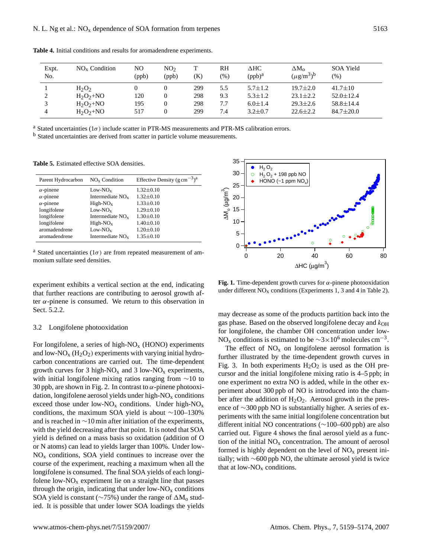| Expt.<br>No. | $NOx$ Condition | NO<br>(ppb) | NO <sub>2</sub><br>(ppb) | (K) | RH<br>(%) | $\Delta$ HC<br>$(ppb)^a$ | $\Delta M_{o}$<br>$(\mu$ g/m <sup>3</sup> ) <sup>b</sup> | SOA Yield<br>(%) |
|--------------|-----------------|-------------|--------------------------|-----|-----------|--------------------------|----------------------------------------------------------|------------------|
|              | $H_2O_2$        |             |                          | 299 | 5.5       | $5.7 \pm 1.2$            | $19.7 \pm 2.0$                                           | $41.7 \pm 10$    |
|              | $H_2O_2+NO$     | 120         |                          | 298 | 9.3       | $5.3 \pm 1.2$            | $23.1 \pm 2.2$                                           | $52.0 \pm 12.4$  |
|              | $H_2O_2 + NO$   | 195         |                          | 298 | 7.7       | $6.0 \pm 1.4$            | $29.3 \pm 2.6$                                           | $58.8 \pm 14.4$  |
| 4            | $H_2O_2 + NO$   | 517         |                          | 299 | 7.4       | $3.2 \pm 0.7$            | $22.6 \pm 2.2$                                           | $84.7 \pm 20.0$  |

**Table 4.** Initial conditions and results for aromadendrene experiments.

<sup>a</sup> Stated uncertainties ( $1\sigma$ ) include scatter in PTR-MS measurements and PTR-MS calibration errors.

<sup>b</sup> Stated uncertainties are derived from scatter in particle volume measurements.

**Table 5.** Estimated effective SOA densities.

| Parent Hydrocarbon | $NOx$ Condition    | Effective Density $(g \text{ cm}^{-3})^{\text{a}}$ |
|--------------------|--------------------|----------------------------------------------------|
| $\alpha$ -pinene   | $Low-NOx$          | $1.32 \pm 0.10$                                    |
| $\alpha$ -pinene   | Intermediate $NOx$ | $1.32 \pm 0.10$                                    |
| $\alpha$ -pinene   | $High-NOx$         | $1.33 \pm 0.10$                                    |
| longifolene        | $Low-NOx$          | $1.29 \pm 0.10$                                    |
| longifolene        | Intermediate $NOx$ | $1.30 \pm 0.10$                                    |
| longifolene        | $High-NOx$         | $1.40 \pm 0.10$                                    |
| aromadendrene      | $Low-NOx$          | $1.20 \pm 0.10$                                    |
| aromadendrene      | Intermediate $NOx$ | $1.35 \pm 0.10$                                    |

<sup>a</sup> Stated uncertainties ( $1\sigma$ ) are from repeated measurement of ammonium sulfate seed densities.

experiment exhibits a vertical section at the end, indicating that further reactions are contributing to aerosol growth after  $\alpha$ -pinene is consumed. We return to this observation in Sect. 5.2.2.

# 3.2 Longifolene photooxidation

For longifolene, a series of high- $NO<sub>x</sub>$  (HONO) experiments and low-NO<sub>x</sub> ( $H_2O_2$ ) experiments with varying initial hydrocarbon concentrations are carried out. The time-dependent growth curves for 3 high- $NO<sub>x</sub>$  and 3 low- $NO<sub>x</sub>$  experiments, with initial longifolene mixing ratios ranging from ∼10 to 30 ppb, are shown in Fig. 2. In contrast to  $\alpha$ -pinene photooxidation, longifolene aerosol yields under high- $NO<sub>x</sub>$  conditions exceed those under low- $NO<sub>x</sub>$  conditions. Under high- $NO<sub>x</sub>$ conditions, the maximum SOA yield is about ∼100–130% and is reached in ∼10 min after initiation of the experiments, with the yield decreasing after that point. It is noted that SOA yield is defined on a mass basis so oxidation (addition of O or N atoms) can lead to yields larger than 100%. Under low- $NO<sub>x</sub>$  conditions, SOA yield continues to increase over the course of the experiment, reaching a maximum when all the longifolene is consumed. The final SOA yields of each longifolene low- $NO<sub>x</sub>$  experiment lie on a straight line that passes through the origin, indicating that under low- $NO<sub>x</sub>$  conditions SOA yield is constant ( $\sim$ 75%) under the range of  $\Delta M_0$  studied. It is possible that under lower SOA loadings the yields



**Fig. 1.** Time-dependent growth curves for  $\alpha$ -pinene photooxidation under different  $NO<sub>x</sub>$  conditions (Experiments 1, 3 and 4 in Table 2).

may decrease as some of the products partition back into the gas phase. Based on the observed longifolene decay and  $k_{OH}$ for longifolene, the chamber OH concentration under low-NO<sub>x</sub> conditions is estimated to be  $\sim$ 3×10<sup>6</sup> molecules cm<sup>-3</sup>.

The effect of  $NO<sub>x</sub>$  on longifolene aerosol formation is further illustrated by the time-dependent growth curves in Fig. 3. In both experiments  $H_2O_2$  is used as the OH precursor and the initial longifolene mixing ratio is 4–5 ppb; in one experiment no extra NO is added, while in the other experiment about 300 ppb of NO is introduced into the chamber after the addition of  $H_2O_2$ . Aerosol growth in the presence of ∼300 ppb NO is substantially higher. A series of experiments with the same initial longifolene concentration but different initial NO concentrations (∼100–600 ppb) are also carried out. Figure 4 shows the final aerosol yield as a function of the initial  $NO<sub>x</sub>$  concentration. The amount of aerosol formed is highly dependent on the level of  $NO<sub>x</sub>$  present initially; with ∼600 ppb NO, the ultimate aerosol yield is twice that at low- $NO<sub>x</sub>$  conditions.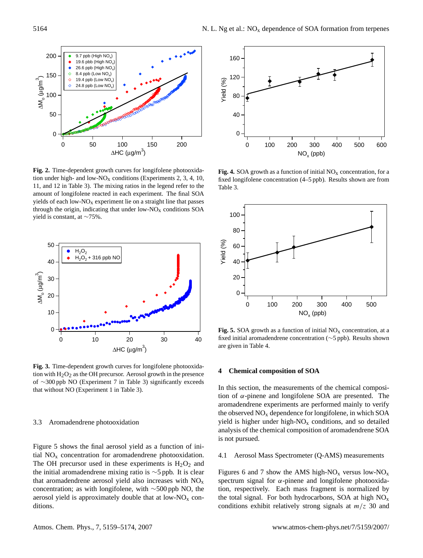

**Fig. 2.** Time-dependent growth curves for longifolene photooxidation under high- and low-NO<sub>x</sub> conditions (Experiments 2, 3, 4, 10, 11, and 12 in Table 3). The mixing ratios in the legend refer to the amount of longifolene reacted in each experiment. The final SOA yields of each low- $NO<sub>x</sub>$  experiment lie on a straight line that passes through the origin, indicating that under low- $NO<sub>x</sub>$  conditions SOA yield is constant, at ∼75%.



**Fig. 3.** Time-dependent growth curves for longifolene photooxidation with  $H_2O_2$  as the OH precursor. Aerosol growth in the presence of ∼300 ppb NO (Experiment 7 in Table 3) significantly exceeds that without NO (Experiment 1 in Table 3).

# 3.3 Aromadendrene photooxidation

Figure 5 shows the final aerosol yield as a function of initial  $NO<sub>x</sub>$  concentration for aromadendrene photooxidation. The OH precursor used in these experiments is  $H_2O_2$  and the initial aromadendrene mixing ratio is ∼5 ppb. It is clear that aromadendrene aerosol yield also increases with  $NO<sub>x</sub>$ concentration; as with longifolene, with ∼500 ppb NO, the aerosol yield is approximately double that at low- $NO<sub>x</sub>$  conditions.



**Fig. 4.** SOA growth as a function of initial  $NO<sub>x</sub>$  concentration, for a fixed longifolene concentration (4–5 ppb). Results shown are from Table 3.



**Fig. 5.** SOA growth as a function of initial  $NO<sub>x</sub>$  concentration, at a fixed initial aromadendrene concentration (∼5 ppb). Results shown are given in Table 4.

#### **4 Chemical composition of SOA**

In this section, the measurements of the chemical composition of  $\alpha$ -pinene and longifolene SOA are presented. The aromadendrene experiments are performed mainly to verify the observed  $NO<sub>x</sub>$  dependence for longifolene, in which SOA yield is higher under high- $NO<sub>x</sub>$  conditions, and so detailed analysis of the chemical composition of aromadendrene SOA is not pursued.

# 4.1 Aerosol Mass Spectrometer (Q-AMS) measurements

Figures 6 and 7 show the AMS high-NO<sub>x</sub> versus low-NO<sub>x</sub> spectrum signal for  $\alpha$ -pinene and longifolene photooxidation, respectively. Each mass fragment is normalized by the total signal. For both hydrocarbons, SOA at high  $NO<sub>x</sub>$ conditions exhibit relatively strong signals at  $m/z$  30 and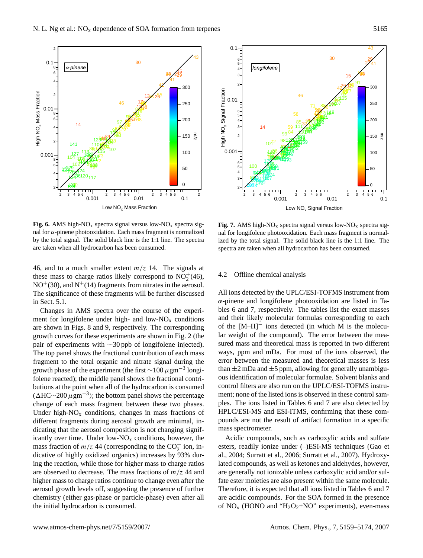

**Fig. 6.** AMS high-NO<sub>x</sub> spectra signal versus low-NO<sub>x</sub> spectra signal for α-pinene photooxidation. Each mass fragment is normalized by the total signal. The solid black line is the 1:1 line. The spectra are taken when all hydrocarbon has been consumed.

46, and to a much smaller extent  $m/z$  14. The signals at these mass to charge ratios likely correspond to  $\overline{NO_2^+(46)}$ ,  $NO<sup>+</sup>(30)$ , and  $N<sup>+</sup>(14)$  fragments from nitrates in the aerosol. The significance of these fragments will be further discussed in Sect. 5.1.

Changes in AMS spectra over the course of the experiment for longifolene under high- and low- $NO<sub>x</sub>$  conditions are shown in Figs. 8 and 9, respectively. The corresponding growth curves for these experiments are shown in Fig. 2 (the pair of experiments with ∼30 ppb of longifolene injected). The top panel shows the fractional contribution of each mass fragment to the total organic and nitrate signal during the growth phase of the experiment (the first  $\sim$ 100  $\mu$ gm<sup>-3</sup> longifolene reacted); the middle panel shows the fractional contributions at the point when all of the hydrocarbon is consumed  $(\Delta HC \sim 200 \,\mu \text{gm}^{-3})$ ; the bottom panel shows the percentage change of each mass fragment between these two phases. Under high- $NO<sub>x</sub>$  conditions, changes in mass fractions of different fragments during aerosol growth are minimal, indicating that the aerosol composition is not changing significantly over time. Under low- $NO<sub>x</sub>$  conditions, however, the mass fraction of  $m/z$  44 (corresponding to the CO<sub>2</sub><sup>+</sup> ion, indicative of highly oxidized organics) increases by 93% during the reaction, while those for higher mass to charge ratios are observed to decrease. The mass fractions of  $m/z$  44 and higher mass to charge ratios continue to change even after the aerosol growth levels off, suggesting the presence of further chemistry (either gas-phase or particle-phase) even after all the initial hydrocarbon is consumed.



**Fig. 7.** AMS high-NO<sub>x</sub> spectra signal versus low-NO<sub>x</sub> spectra signal for longifolene photooxidation. Each mass fragment is normalized by the total signal. The solid black line is the 1:1 line. The spectra are taken when all hydrocarbon has been consumed.

#### 4.2 Offline chemical analysis

All ions detected by the UPLC/ESI-TOFMS instrument from  $\alpha$ -pinene and longifolene photooxidation are listed in Tables 6 and 7, respectively. The tables list the exact masses and their likely molecular formulas corresponding to each of the [M–H]<sup>−</sup> ions detected (in which M is the molecular weight of the compound). The error between the measured mass and theoretical mass is reported in two different ways, ppm and mDa. For most of the ions observed, the error between the measured and theoretical masses is less than  $\pm 2$  mDa and  $\pm 5$  ppm, allowing for generally unambiguous identification of molecular formulae. Solvent blanks and control filters are also run on the UPLC/ESI-TOFMS instrument; none of the listed ions is observed in these control samples. The ions listed in Tables 6 and 7 are also detected by HPLC/ESI-MS and ESI-ITMS, confirming that these compounds are not the result of artifact formation in a specific mass spectrometer.

Acidic compounds, such as carboxylic acids and sulfate esters, readily ionize under (–)ESI-MS techniques (Gao et al., 2004; Surratt et al., 2006; Surratt et al., 2007). Hydroxylated compounds, as well as ketones and aldehydes, however, are generally not ionizable unless carboxylic acid and/or sulfate ester moieties are also present within the same molecule. Therefore, it is expected that all ions listed in Tables 6 and 7 are acidic compounds. For the SOA formed in the presence of  $NO<sub>x</sub>$  (HONO and "H<sub>2</sub>O<sub>2</sub>+NO" experiments), even-mass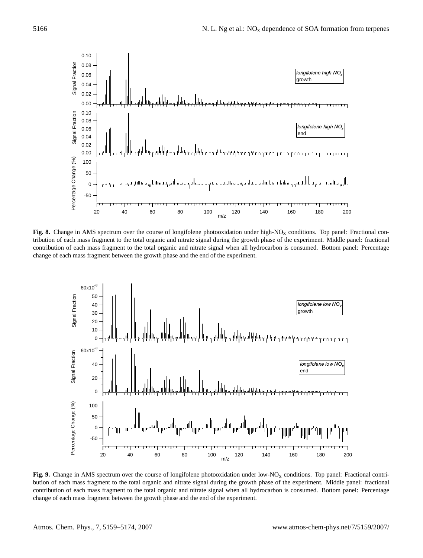

**Fig. 8.** Change in AMS spectrum over the course of longifolene photooxidation under high-NO<sub>x</sub> conditions. Top panel: Fractional contribution of each mass fragment to the total organic and nitrate signal during the growth phase of the experiment. Middle panel: fractional contribution of each mass fragment to the total organic and nitrate signal when all hydrocarbon is consumed. Bottom panel: Percentage change of each mass fragment between the growth phase and the end of the experiment.



**Fig. 9.** Change in AMS spectrum over the course of longifolene photooxidation under low-NO<sub>x</sub> conditions. Top panel: Fractional contribution of each mass fragment to the total organic and nitrate signal during the growth phase of the experiment. Middle panel: fractional contribution of each mass fragment to the total organic and nitrate signal when all hydrocarbon is consumed. Bottom panel: Percentage change of each mass fragment between the growth phase and the end of the experiment.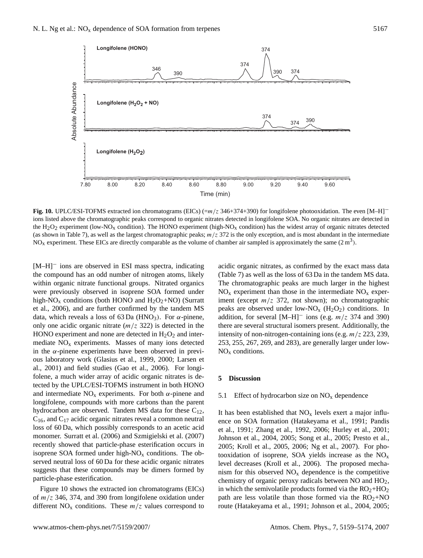

**Fig. 10.** UPLC/ESI-TOFMS extracted ion chromatograms (EICs) (=m/z 346+374+390) for longifolene photooxidation. The even [M–H]<sup>−</sup> ions listed above the chromatographic peaks correspond to organic nitrates detected in longifolene SOA. No organic nitrates are detected in the H<sub>2</sub>O<sub>2</sub> experiment (low-NO<sub>x</sub> condition). The HONO experiment (high-NO<sub>x</sub> condition) has the widest array of organic nitrates detected (as shown in Table 7), as well as the largest chromatographic peaks;  $m/z$  372 is the only exception, and is most abundant in the intermediate  $NO<sub>x</sub>$  experiment. These EICs are directly comparable as the volume of chamber air sampled is approximately the same  $(2 m<sup>3</sup>)$ .

[M–H]<sup>−</sup> ions are observed in ESI mass spectra, indicating the compound has an odd number of nitrogen atoms, likely within organic nitrate functional groups. Nitrated organics were previously observed in isoprene SOA formed under high-NO<sub>x</sub> conditions (both HONO and  $H_2O_2+NO$ ) (Surratt et al., 2006), and are further confirmed by the tandem MS data, which reveals a loss of 63 Da (HNO<sub>3</sub>). For  $\alpha$ -pinene, only one acidic organic nitrate  $(m/z 322)$  is detected in the HONO experiment and none are detected in  $H_2O_2$  and intermediate  $NO<sub>x</sub>$  experiments. Masses of many ions detected in the  $\alpha$ -pinene experiments have been observed in previous laboratory work (Glasius et al., 1999, 2000; Larsen et al., 2001) and field studies (Gao et al., 2006). For longifolene, a much wider array of acidic organic nitrates is detected by the UPLC/ESI-TOFMS instrument in both HONO and intermediate  $NO<sub>x</sub>$  experiments. For both  $\alpha$ -pinene and longifolene, compounds with more carbons than the parent hydrocarbon are observed. Tandem MS data for these  $C_{12}$ ,  $C_{16}$ , and  $C_{17}$  acidic organic nitrates reveal a common neutral loss of 60 Da, which possibly corresponds to an acetic acid monomer. Surratt et al. (2006) and Szmigielski et al. (2007) recently showed that particle-phase esterification occurs in isoprene SOA formed under high- $NO<sub>x</sub>$  conditions. The observed neutral loss of 60 Da for these acidic organic nitrates suggests that these compounds may be dimers formed by particle-phase esterification.

Figure 10 shows the extracted ion chromatograms (EICs) of  $m/z$  346, 374, and 390 from longifolene oxidation under different  $NO<sub>x</sub>$  conditions. These  $m/z$  values correspond to acidic organic nitrates, as confirmed by the exact mass data (Table 7) as well as the loss of 63 Da in the tandem MS data. The chromatographic peaks are much larger in the highest  $NO<sub>x</sub>$  experiment than those in the intermediate  $NO<sub>x</sub>$  experiment (except  $m/z$  372, not shown); no chromatographic peaks are observed under low-NO<sub>x</sub> ( $H_2O_2$ ) conditions. In addition, for several  $[M-H]$ <sup>-</sup> ions (e.g.  $m/z$  374 and 390) there are several structural isomers present. Additionally, the intensity of non-nitrogen-containing ions (e.g.  $m/z$  223, 239, 253, 255, 267, 269, and 283), are generally larger under low- $NO<sub>x</sub>$  conditions.

# **5 Discussion**

#### 5.1 Effect of hydrocarbon size on  $NO<sub>x</sub>$  dependence

It has been established that  $NO<sub>x</sub>$  levels exert a major influence on SOA formation (Hatakeyama et al., 1991; Pandis et al., 1991; Zhang et al., 1992, 2006; Hurley et al., 2001; Johnson et al., 2004, 2005; Song et al., 2005; Presto et al., 2005; Kroll et al., 2005, 2006; Ng et al., 2007). For photooxidation of isoprene, SOA yields increase as the  $NO<sub>x</sub>$ level decreases (Kroll et al., 2006). The proposed mechanism for this observed  $NO<sub>x</sub>$  dependence is the competitive chemistry of organic peroxy radicals between NO and HO2, in which the semivolatile products formed via the  $RO<sub>2</sub>+HO<sub>2</sub>$ path are less volatile than those formed via the  $RO<sub>2</sub>+NO$ route (Hatakeyama et al., 1991; Johnson et al., 2004, 2005;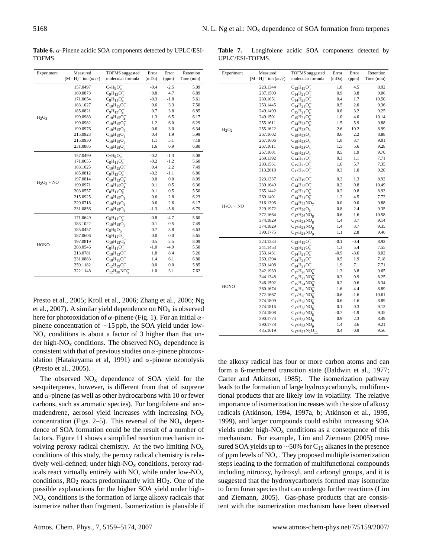**Table 6.** α-Pinene acidic SOA components detected by UPLC/ESI-TOFMS.

**Table 7.** Longifolene acidic SOA components detected by UPLC/ESI-TOFMS.

| Experiment                    | Measured                           | TOFMS suggested         | Error  | Error  | Retention  |
|-------------------------------|------------------------------------|-------------------------|--------|--------|------------|
|                               | $[M - H]$ <sup>-</sup> ion $(m/z)$ | molecular formula       | (mDa)  | (ppm)  | Time (min) |
|                               | 157.0497                           | $C_7H_9O_4^-$           | $-0.4$ | $-2.5$ | 5.09       |
|                               | 169.0873                           | $C_9H_{13}O_3^-$        | 0.8    | 4.7    | 6.89       |
|                               | 171.0654                           | $C_8H_{11}O_4^-$        | $-0.3$ | $-1.8$ | 5.61       |
|                               | 183.1027                           | $C_{10}H_{15}O_3^-$     | 0.6    | 3.3    | 7.50       |
|                               | 185.0821                           | $C_9H_{13}O_4^-$        | 0.7    | 3.8    | 6.85       |
| H <sub>2</sub> O <sub>2</sub> | 199.0983                           | $C_{10}H_{15}O_4^-$     | 1.3    | 6.5    | 6.17       |
|                               | 199.0982                           | $C_{10}H_{15}O_4$       | 1.2    | 6.0    | 6.29       |
|                               | 199.0976                           | $C_{10}H_{15}O_4^-$     | 0.6    | 3.0    | 6.34       |
|                               | 215.0923                           | $C_{10}H_{15}O_5^-$     | 0.4    | 1.9    | 5.99       |
|                               | 215.0930                           | $C_{10}H_{15}O_5^-$     | 1.1    | 5.1    | 7.18       |
|                               | 231.0885                           | $C_{10}H_{15}O_6^-$     | 1.6    | 6.9    | 6.80       |
|                               | 157.0499                           | $C_7H_9O_4^-$           | $-0.2$ | $-1.3$ | 5.08       |
|                               | 171.0655                           | $C_8H_{11}O_4^-$        | $-0.2$ | $-1.2$ | 5.60       |
|                               | 183.1025                           | $C_{10}H_{15}O_3^-$     | 0.4    | 2.2    | 7.49       |
|                               | 185.0812                           | $C_9H_{13}O_4$          | $-0.2$ | $-1.1$ | 6.86       |
|                               | 197.0814                           | $C_{10}H_{13}O_4^-$     | 0.0    | 0.0    | 8.09       |
| $H_2O_2 + NO$                 | 199.0971                           | $C_{10}H_{15}O_{4}^{-}$ | 0.1    | 0.5    | 6.36       |
|                               | 203.0557                           | $C_8H_{11}O_6^-$        | 0.1    | 0.5    | 5.50       |
|                               | 215.0925                           | $C_{10}H_{15}O_5^-$     | 0.6    | 2.8    | 6.23       |
|                               | 229.0718                           | $C_{10}H_{13}O_6^-$     | 0.6    | 2.6    | 6.17       |
|                               | 231.0856                           | $C_{10}H_{15}O_6^-$     | $-1.3$ | $-5.6$ | 6.79       |
|                               | 171.0649                           | $C_8H_{11}O_4^-$        | $-0.8$ | $-4.7$ | 5.60       |
|                               | 183.1022                           | $C_{10}H_{15}O_3^-$     | 0.1    | 0.5    | 7.49       |
|                               | 185.0457                           | $C_8H_9O_5^-$           | 0.7    | 3.8    | 6.63       |
| <b>HONO</b>                   | 187.0606                           | $C_8H_{11}O_5^-$        | 0.0    | 0.0    | 5.65       |
|                               | 197.0819                           | $C_{10}H_{13}O_4^-$     | 0.5    | 2.5    | 8.09       |
|                               | 203.0546                           | $C_8H_{11}O_6^-$        | $-1.0$ | $-4.9$ | 5.50       |
|                               | 213.0781                           | $C_{10}H_{13}O_5^-$     | 1.8    | 8.4    | 5.26       |
|                               | 231.0883                           | $C_{10}H_{15}O_6^-$     | 1.4    | 6.1    | 6.80       |
|                               | 259.1182                           | $C_{12}H_{19}O_6^-$     | 0.0    | 0.0    | 5.85       |
|                               | 322.1148                           | $C_{12}H_{20}NO_0^-$    | 1.0    | 3.1    | 7.62       |

Presto et al., 2005; Kroll et al., 2006; Zhang et al., 2006; Ng et al., 2007). A similar yield dependence on  $NO<sub>x</sub>$  is observed here for photooxidation of  $\alpha$ -pinene (Fig. 1). For an initial  $\alpha$ pinene concentration of ∼15 ppb, the SOA yield under low- $NO<sub>x</sub>$  conditions is about a factor of 3 higher than that under high- $NO<sub>x</sub>$  conditions. The observed  $NO<sub>x</sub>$  dependence is consistent with that of previous studies on  $\alpha$ -pinene photooxidation (Hatakeyama et al, 1991) and  $\alpha$ -pinene ozonolysis (Presto et al., 2005).

The observed  $NO<sub>x</sub>$  dependence of SOA yield for the sesquiterpenes, however, is different from that of isoprene and  $\alpha$ -pinene (as well as other hydrocarbons with 10 or fewer carbons, such as aromatic species). For longifolene and aromadendrene, aerosol yield increases with increasing NO<sup>x</sup> concentration (Figs. 2–5). This reversal of the  $NO<sub>x</sub>$  dependence of SOA formation could be the result of a number of factors. Figure 11 shows a simplified reaction mechanism involving peroxy radical chemistry. At the two limiting  $NO<sub>x</sub>$ conditions of this study, the peroxy radical chemistry is relatively well-defined; under high- $NO<sub>x</sub>$  conditions, peroxy radicals react virtually entirely with NO, while under low- $NO_x$ conditions,  $RO<sub>2</sub>$  reacts predominantly with  $HO<sub>2</sub>$ . One of the possible explanations for the higher SOA yield under high- $NO<sub>x</sub>$  conditions is the formation of large alkoxy radicals that isomerize rather than fragment. Isomerization is plausible if

| Experiment    | Measured                           | <b>TOFMS</b> suggested    | Error    | Error    | Retention  |
|---------------|------------------------------------|---------------------------|----------|----------|------------|
|               | $[M - H]$ <sup>-</sup> ion $(m/z)$ | molecular formula         | (mDa)    | (ppm)    | Time (min) |
|               | 223.1344                           | $C_{13}H_{19}O_3$         | 1.0      | 4.5      | 8.92       |
|               | 237.1500                           | $C_{14}H_{21}O_3$         | 0.9      | 3.8      | 9.06       |
|               | 239.1651                           | $C_{14}H_{23}O_3$         | 0.4      | 1.7      | 10.50      |
|               | 253.1445                           | $C_{14}H_{21}O_4^-$       | 0.5      | 2.0      | 9.36       |
|               | 249.1499                           | $C_{15}H_{21}O_4^-$       | $_{0.8}$ | 3.2      | 9.25       |
|               | 249.1501                           | $C_{15}H_{21}O_4$         | 1.0      | 4.0      | 10.14      |
|               | 255.1611                           | $C_{14}H_{23}O_4$         | 1.5      | 5.9      | 9.88       |
| $H_2O_2$      | 255.1622                           | $C_{14}H_{23}O_4$         | 2.6      | 10.2     | 8.99       |
|               | 267.1602                           | $C_{15}H_{23}O_4^-$       | 0.6      | 2.2      | 8.88       |
|               | 267.1606                           | $C_{15}H_{23}O_4^-$       | 1.0      | 3.7      | 9.01       |
|               | 267.1611                           | $C_{15}H_{23}O_4^-$       | 1.5      | 5.6      | 9.28       |
|               | 267.1601                           | $C_{15}H_{23}O_4$         | 0.5      | 1.9      | 9.70       |
|               | 269.1392                           | $C_{14}H_{21}O_5^-$       | 0.3      | 1.1      | 7.71       |
|               | 283.1561                           | $C_{15}H_{23}O_5$         | 1.6      | 5.7      | 7.35       |
|               | 313.2018                           | $C_{17}H_{29}O_5^-$       | 0.3      | 1.0      | 9.20       |
|               | 223.1337                           | $C_{13}H_{19}O_3$         | 0.3      | 1.3      | 8.92       |
|               | 239.1649                           | $C_{14}H_{23}O_3^-$       | 0.2      | 0.8      | 10.49      |
|               | 265.1442                           | $C_{15}H_{21}O_4^-$       | 0.2      | $_{0.8}$ | 8.93       |
|               | 269.1401                           | $C_{14}H_{21}O_5$         | 1.2      | 4.5      | 7.72       |
|               | 316.1396                           | $C_{14}H_{22}NO_7^-$      | 0.0      | 0.0      | 9.88       |
| $H_2O_2 + NO$ | 329.1972                           | $C_{17}H_{29}O_6$         | 0.8      | 2.4      | 9.35       |
|               | 372.1664                           | $C_{17}H_{26}NO_8^-$      | 0.6      | 1.6      | 10.58      |
|               | 374.1829                           | $C_{17}H_{28}NO_8^-$      | 1.4      | 3.7      | 9.14       |
|               | 374.1829                           | $C_{17}H_{28}NO_8^-$      | 1.4      | 3.7      | 9.35       |
|               | 390.1775                           | $C_{17}H_{28}NO_9^-$      | 1.1      | 2.8      | 9.46       |
|               | 223.1334                           | $C_{13}H_{19}O_3^-$       | $-0.1$   | $-0.4$   | 8.92       |
|               | 241.1453                           | $C_{13}H_{21}O_4^-$       | 1.3      | 5.4      | 7.55       |
|               | 253.1431                           | $C_{14}H_{21}O_4^-$       | $-0.9$   | $-3.6$   | 8.02       |
|               | 269.1394                           | $C_{14}H_{21}O_5$         | 0.5      | 1.9      | 7.18       |
|               | 269.1408                           | $C_{14}H_{21}O_5$         | 1.9      | 7.1      | 7.71       |
|               | 342.1930                           | $C_{17}H_{28}NO_6^-$      | 1.3      | 3.8      | 9.65       |
|               | 344.1348                           | $C_{15}H_{22}NO_8^-$      | 0.3      | 0.9      | 8.25       |
|               | 346.1502                           | $C_{15}H_{24}NO_8$        | 0.2      | 0.6      | 8.34       |
| HONO          | 360.1674                           | $C_{16}H_{26}NO_8^-$      | 1.6      | 4.4      | 8.89       |
|               | 372.1667                           | $C_{17}H_{26}NO_8^-$      | $-0.6$   | -1.6     | 10.61      |
|               | 374.1809                           | $C_{17}H_{28}NO_8^-$      | $-0.6$   | $-1.6$   | 8.89       |
|               | 374.1816                           | $C_{17}H_{28}NO_8$        | 0.1      | 0.3      | 9.13       |
|               | 374.1808                           | $C_{17}H_{28}NO_8^-$      | $-0.7$   | -1.9     | 9.35       |
|               | 390.1773                           | $C_{17}H_{28}NO_9^-$      | 0.9      | 2.3      | 8.49       |
|               | 390.1778                           | $C_{17}H_{28}NO_9^-$      | 1.4      | 3.6      | 9.21       |
|               | 435.1619                           | $C_{17}H_{27}N_2O_{11}^-$ | 0.4      | 0.9      | 9.56       |
|               |                                    |                           |          |          |            |

the alkoxy radical has four or more carbon atoms and can form a 6-membered transition state (Baldwin et al., 1977; Carter and Atkinson, 1985). The isomerization pathway leads to the formation of large hydroxycarbonyls, multifunctional products that are likely low in volatility. The relative importance of isomerization increases with the size of alkoxy radicals (Atkinson, 1994, 1997a, b; Atkinson et al., 1995, 1999), and larger compounds could exhibit increasing SOA yields under high- $NO<sub>x</sub>$  conditions as a consequence of this mechanism. For example, Lim and Ziemann (2005) measured SOA yields up to  $\sim$ 50% for C<sub>15</sub> alkanes in the presence of ppm levels of  $NO<sub>x</sub>$ . They proposed multiple isomerization steps leading to the formation of multifunctional compounds including nitrooxy, hydroxyl, and carbonyl groups, and it is suggested that the hydroxycarbonyls formed may isomerize to form furan species that can undergo further reactions (Lim and Ziemann, 2005). Gas-phase products that are consistent with the isomerization mechanism have been observed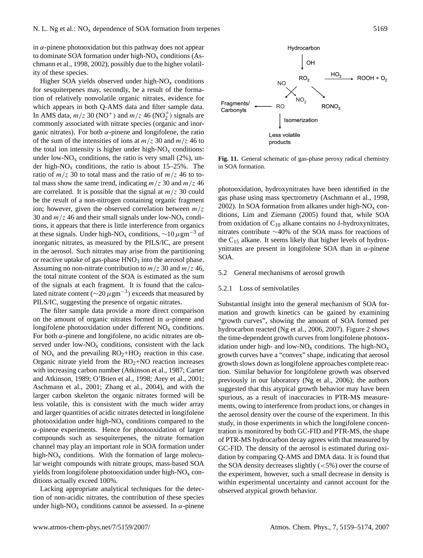in  $\alpha$ -pinene photooxidation but this pathway does not appear to dominate SOA formation under high- $NO<sub>x</sub>$  conditions (Aschmann et al., 1998, 2002), possibly due to the higher volatility of these species.

Higher SOA yields observed under high- $NO<sub>x</sub>$  conditions for sesquiterpenes may, secondly, be a result of the formation of relatively nonvolatile organic nitrates, evidence for which appears in both Q-AMS data and filter sample data. In AMS data,  $m/z$  30 (NO<sup>+</sup>) and  $m/z$  46 (NO<sup>+</sup>) signals are commonly associated with nitrate species (organic and inorganic nitrates). For both  $\alpha$ -pinene and longifolene, the ratio of the sum of the intensities of ions at  $m/z$  30 and  $m/z$  46 to the total ion intensity is higher under high- $NO<sub>x</sub>$  conditions: under low- $NO<sub>x</sub>$  conditions, the ratio is very small (2%), under high- $NO<sub>x</sub>$  conditions, the ratio is about 15–25%. The ratio of  $m/z$  30 to total mass and the ratio of  $m/z$  46 to total mass show the same trend, indicating  $m/z$  30 and  $m/z$  46 are correlated. It is possible that the signal at  $m/z$  30 could be the result of a non-nitrogen containing organic fragment ion; however, given the observed correlation between  $m/z$ 30 and  $m/z$  46 and their small signals under low-NO<sub>x</sub> conditions, it appears that there is little interference from organics at these signals. Under high-NO<sub>x</sub> conditions,  $\sim$ 10  $\mu$ gm<sup>-3</sup> of inorganic nitrates, as measured by the PILS/IC, are present in the aerosol. Such nitrates may arise from the partitioning or reactive uptake of gas-phase  $HNO<sub>3</sub>$  into the aerosol phase. Assuming no non-nitrate contribution to  $m/z$  30 and  $m/z$  46, the total nitrate content of the SOA is estimated as the sum of the signals at each fragment. It is found that the calculated nitrate content ( $\sim$ 20  $\mu$ gm<sup>-3</sup>) exceeds that measured by PILS/IC, suggesting the presence of organic nitrates.

The filter sample data provide a more direct comparison on the amount of organic nitrates formed in  $\alpha$ -pinene and longifolene photooxidation under different NO<sup>x</sup> conditions. For both  $\alpha$ -pinene and longifolene, no acidic nitrates are observed under low- $NO<sub>x</sub>$  conditions, consistent with the lack of  $NO<sub>x</sub>$  and the prevailing  $RO<sub>2</sub>+HO<sub>2</sub>$  reaction in this case. Organic nitrate yield from the  $RO<sub>2</sub>+NO$  reaction increases with increasing carbon number (Atkinson et al., 1987; Carter and Atkinson, 1989; O'Brien et al., 1998; Arey et al., 2001; Aschmann et al., 2001; Zhang et al., 2004), and with the larger carbon skeleton the organic nitrates formed will be less volatile, this is consistent with the much wider array and larger quantities of acidic nitrates detected in longifolene photooxidation under high- $NO<sub>x</sub>$  conditions compared to the  $\alpha$ -pinene experiments. Hence for photooxidation of larger compounds such as sesquiterpenes, the nitrate formation channel may play an important role in SOA formation under high- $NO<sub>x</sub>$  conditions. With the formation of large molecular weight compounds with nitrate groups, mass-based SOA yields from longifolene photooxidation under high- $NO<sub>x</sub>$  conditions actually exceed 100%.

Lacking appropriate analytical techniques for the detection of non-acidic nitrates, the contribution of these species under high-NO<sub>x</sub> conditions cannot be assessed. In  $\alpha$ -pinene



**Fig. 11.** General schematic of gas-phase peroxy radical chemistry in SOA formation.

photooxidation, hydroxynitrates have been identified in the gas phase using mass spectrometry (Aschmann et al., 1998, 2002). In SOA formation from alkanes under high- $NO<sub>x</sub>$  conditions, Lim and Ziemann (2005) found that, while SOA from oxidation of  $C_{10}$  alkane contains no  $\delta$ -hydroxynitrates, nitrates contribute ∼40% of the SOA mass for reactions of the  $C_{15}$  alkane. It seems likely that higher levels of hydroxynitrates are present in longifolene SOA than in  $\alpha$ -pinene SOA.

#### 5.2 General mechanisms of aerosol growth

# 5.2.1 Loss of semivolatiles

Substantial insight into the general mechanism of SOA formation and growth kinetics can be gained by examining "growth curves", showing the amount of SOA formed per hydrocarbon reacted (Ng et al., 2006, 2007). Figure 2 shows the time-dependent growth curves from longifolene photooxidation under high- and low-NO<sub>x</sub> conditions. The high-NO<sub>x</sub> growth curves have a "convex" shape, indicating that aerosol growth slows down as longifolene approaches complete reaction. Similar behavior for longifolene growth was observed previously in our laboratory (Ng et al., 2006); the authors suggested that this atypical growth behavior may have been spurious, as a result of inaccuracies in PTR-MS measurements, owing to interference from product ions, or changes in the aerosol density over the course of the experiment. In this study, in those experiments in which the longifolene concentration is monitored by both GC-FID and PTR-MS, the shape of PTR-MS hydrocarbon decay agrees with that measured by GC-FID. The density of the aerosol is estimated during oxidation by comparing Q-AMS and DMA data. It is found that the SOA density decreases slightly  $(<5\%)$  over the course of the experiment, however, such a small decrease in density is within experimental uncertainty and cannot account for the observed atypical growth behavior.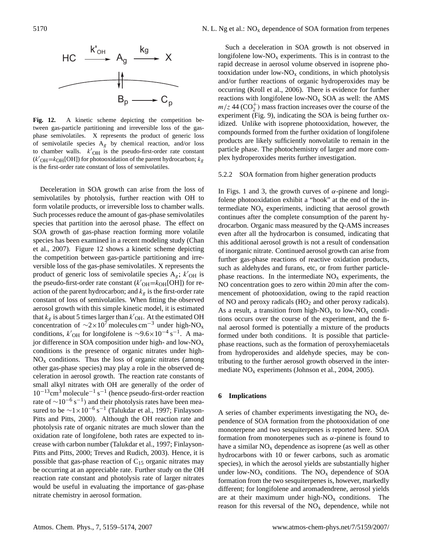

Fig. 12. A kinetic scheme depicting the competition between gas-particle partitioning and irreversible loss of the gasphase semivolatiles. X represents the product of generic loss of semivolatile species  $A_g$  by chemical reaction, and/or loss to chamber walls.  $k'_{\text{OH}}$  is the pseudo-first-order rate constant  $(k'_{\text{OH}}=k_{\text{OH}}[\text{OH}]$ ) for photooxidation of the parent hydrocarbon;  $k_g$ is the first-order rate constant of loss of semivolatiles.

Deceleration in SOA growth can arise from the loss of semivolatiles by photolysis, further reaction with OH to form volatile products, or irreversible loss to chamber walls. Such processes reduce the amount of gas-phase semivolatiles species that partition into the aerosol phase. The effect on SOA growth of gas-phase reaction forming more volatile species has been examined in a recent modeling study (Chan et al., 2007). Figure 12 shows a kinetic scheme depicting the competition between gas-particle partitioning and irreversible loss of the gas-phase semivolatiles. X represents the product of generic loss of semivolatile species  $A_g$ ;  $k'_{\text{OH}}$  is the pseudo-first-order rate constant  $(k'_{\text{OH}}=k_{\text{OH}}[\text{OH}])$  for reaction of the parent hydrocarbon; and  $k<sub>g</sub>$  is the first-order rate constant of loss of semivolatiles. When fitting the observed aerosol growth with this simple kinetic model, it is estimated that  $k_g$  is about 5 times larger than  $k'_{\text{OH}}$ . At the estimated OH concentration of  $\sim$ 2×10<sup>7</sup> molecules cm<sup>-3</sup> under high-NO<sub>x</sub> conditions,  $k'_{OH}$  for longifolene is ~9.6×10<sup>-4</sup> s<sup>-1</sup>. A major difference in SOA composition under high- and low- $NO<sub>x</sub>$ conditions is the presence of organic nitrates under high- $NO<sub>x</sub>$  conditions. Thus the loss of organic nitrates (among other gas-phase species) may play a role in the observed deceleration in aerosol growth. The reaction rate constants of small alkyl nitrates with OH are generally of the order of 10−13cm<sup>3</sup> molecule−<sup>1</sup> s −1 (hence pseudo-first-order reaction rate of  $\sim$ 10<sup>-6</sup> s<sup>-1</sup>) and their photolysis rates have been measured to be  $\sim$ 1×10<sup>-6</sup> s<sup>-1</sup> (Talukdar et al., 1997; Finlayson-Pitts and Pitts, 2000). Although the OH reaction rate and photolysis rate of organic nitrates are much slower than the oxidation rate of longifolene, both rates are expected to increase with carbon number (Talukdar et al., 1997; Finlayson-Pitts and Pitts, 2000; Treves and Rudich, 2003). Hence, it is possible that gas-phase reaction of  $C_{15}$  organic nitrates may be occurring at an appreciable rate. Further study on the OH reaction rate constant and photolysis rate of larger nitrates would be useful in evaluating the importance of gas-phase nitrate chemistry in aerosol formation.

Such a deceleration in SOA growth is not observed in longifolene low- $NO<sub>x</sub>$  experiments. This is in contrast to the rapid decrease in aerosol volume observed in isoprene photooxidation under low- $NO<sub>x</sub>$  conditions, in which photolysis and/or further reactions of organic hydroperoxides may be occurring (Kroll et al., 2006). There is evidence for further reactions with longifolene low- $NO<sub>x</sub>$  SOA as well: the AMS  $m/z$  44 (CO<sub>2</sub><sup>+</sup>) mass fraction increases over the course of the experiment (Fig. 9), indicating the SOA is being further oxidized. Unlike with isoprene photooxidation, however, the compounds formed from the further oxidation of longifolene products are likely sufficiently nonvolatile to remain in the particle phase. The photochemistry of larger and more complex hydroperoxides merits further investigation.

## 5.2.2 SOA formation from higher generation products

In Figs. 1 and 3, the growth curves of  $\alpha$ -pinene and longifolene photooxidation exhibit a "hook" at the end of the intermediate  $NO<sub>x</sub>$  experiments, indicting that aerosol growth continues after the complete consumption of the parent hydrocarbon. Organic mass measured by the Q-AMS increases even after all the hydrocarbon is consumed, indicating that this additional aerosol growth is not a result of condensation of inorganic nitrate. Continued aerosol growth can arise from further gas-phase reactions of reactive oxidation products, such as aldehydes and furans, etc, or from further particlephase reactions. In the intermediate  $NO<sub>x</sub>$  experiments, the NO concentration goes to zero within 20 min after the commencement of photooxidation, owing to the rapid reaction of NO and peroxy radicals  $(HO<sub>2</sub>$  and other peroxy radicals). As a result, a transition from high- $NO<sub>x</sub>$  to low- $NO<sub>x</sub>$  conditions occurs over the course of the experiment, and the final aerosol formed is potentially a mixture of the products formed under both conditions. It is possible that particlephase reactions, such as the formation of peroxyhemiacetals from hydroperoxides and aldehyde species, may be contributing to the further aerosol growth observed in the intermediate  $NO<sub>x</sub>$  experiments (Johnson et al., 2004, 2005).

# **6 Implications**

A series of chamber experiments investigating the  $NO<sub>x</sub>$  dependence of SOA formation from the photooxidation of one monoterpene and two sesquiterpenes is reported here. SOA formation from monoterpenes such as  $\alpha$ -pinene is found to have a similar  $NO<sub>x</sub>$  dependence as isoprene (as well as other hydrocarbons with 10 or fewer carbons, such as aromatic species), in which the aerosol yields are substantially higher under low- $NO<sub>x</sub>$  conditions. The  $NO<sub>x</sub>$  dependence of SOA formation from the two sesquiterpenes is, however, markedly different; for longifolene and aromadendrene, aerosol yields are at their maximum under high- $NO<sub>x</sub>$  conditions. The reason for this reversal of the  $NO<sub>x</sub>$  dependence, while not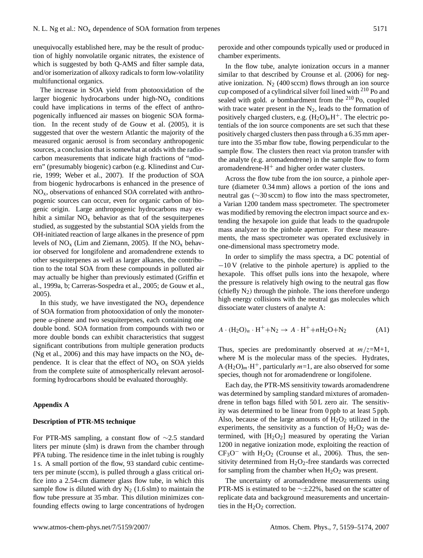unequivocally established here, may be the result of production of highly nonvolatile organic nitrates, the existence of which is suggested by both Q-AMS and filter sample data, and/or isomerization of alkoxy radicals to form low-volatility multifunctional organics.

The increase in SOA yield from photooxidation of the larger biogenic hydrocarbons under high- $NO<sub>x</sub>$  conditions could have implications in terms of the effect of anthropogenically influenced air masses on biogenic SOA formation. In the recent study of de Gouw et al. (2005), it is suggested that over the western Atlantic the majority of the measured organic aerosol is from secondary anthropogenic sources, a conclusion that is somewhat at odds with the radiocarbon measurements that indicate high fractions of "modern" (presumably biogenic) carbon (e.g. Klinedinst and Currie, 1999; Weber et al., 2007). If the production of SOA from biogenic hydrocarbons is enhanced in the presence of  $NO<sub>x</sub>$ , observations of enhanced SOA correlated with anthropogenic sources can occur, even for organic carbon of biogenic origin. Large anthropogenic hydrocarbons may exhibit a similar  $NO<sub>x</sub>$  behavior as that of the sesquiterpenes studied, as suggested by the substantial SOA yields from the OH-initiated reaction of large alkanes in the presence of ppm levels of  $NO_x$  (Lim and Ziemann, 2005). If the  $NO_x$  behavior observed for longifolene and aromadendrene extends to other sesquiterpenes as well as larger alkanes, the contribution to the total SOA from these compounds in polluted air may actually be higher than previously estimated (Griffin et al., 1999a, b; Carreras-Sospedra et al., 2005; de Gouw et al., 2005).

In this study, we have investigated the  $NO<sub>x</sub>$  dependence of SOA formation from photooxidation of only the monoterpene α-pinene and two sesquiterpenes, each containing one double bond. SOA formation from compounds with two or more double bonds can exhibit characteristics that suggest significant contributions from multiple generation products (Ng et al., 2006) and this may have impacts on the  $NO<sub>x</sub>$  dependence. It is clear that the effect of  $NO<sub>x</sub>$  on SOA yields from the complete suite of atmospherically relevant aerosolforming hydrocarbons should be evaluated thoroughly.

#### **Appendix A**

# **Description of PTR-MS technique**

For PTR-MS sampling, a constant flow of ∼2.5 standard liters per minute (slm) is drawn from the chamber through PFA tubing. The residence time in the inlet tubing is roughly 1 s. A small portion of the flow, 93 standard cubic centimeters per minute (sccm), is pulled through a glass critical orifice into a 2.54-cm diameter glass flow tube, in which this sample flow is diluted with dry  $N_2$  (1.6 slm) to maintain the flow tube pressure at 35 mbar. This dilution minimizes confounding effects owing to large concentrations of hydrogen peroxide and other compounds typically used or produced in chamber experiments.

In the flow tube, analyte ionization occurs in a manner similar to that described by Crounse et al. (2006) for negative ionization.  $N_2$  (400 sccm) flows through an ion source cup composed of a cylindrical silver foil lined with <sup>210</sup> Po and sealed with gold.  $\alpha$  bombardment from the <sup>210</sup> Po, coupled with trace water present in the  $N_2$ , leads to the formation of positively charged clusters, e.g.  $(H_2O)_nH^+$ . The electric potentials of the ion source components are set such that these positively charged clusters then pass through a 6.35 mm aperture into the 35 mbar flow tube, flowing perpendicular to the sample flow. The clusters then react via proton transfer with the analyte (e.g. aromadendrene) in the sample flow to form aromadendrene- $H^+$  and higher order water clusters.

Across the flow tube from the ion source, a pinhole aperture (diameter 0.34 mm) allows a portion of the ions and neutral gas (∼30 sccm) to flow into the mass spectrometer, a Varian 1200 tandem mass spectrometer. The spectrometer was modified by removing the electron impact source and extending the hexapole ion guide that leads to the quadrupole mass analyzer to the pinhole aperture. For these measurements, the mass spectrometer was operated exclusively in one-dimensional mass spectrometry mode.

In order to simplify the mass spectra, a DC potential of −10 V (relative to the pinhole aperture) is applied to the hexapole. This offset pulls ions into the hexapole, where the pressure is relatively high owing to the neutral gas flow (chiefly  $N_2$ ) through the pinhole. The ions therefore undergo high energy collisions with the neutral gas molecules which dissociate water clusters of analyte A:

$$
A \cdot (\text{H}_2\text{O})_n \cdot \text{H}^+ + \text{N}_2 \to A \cdot \text{H}^+ + n\text{H}_2\text{O} + \text{N}_2 \tag{A1}
$$

Thus, species are predominantly observed at  $m/z=M+1$ , where M is the molecular mass of the species. Hydrates, A· $(H_2O)<sub>m</sub>$ ·H<sup>+</sup>, particularly  $m=1$ , are also observed for some species, though not for aromadendrene or longifolene.

Each day, the PTR-MS sensitivity towards aromadendrene was determined by sampling standard mixtures of aromadendrene in teflon bags filled with 50 L zero air. The sensitivity was determined to be linear from 0 ppb to at least 5 ppb. Also, because of the large amounts of  $H_2O_2$  utilized in the experiments, the sensitivity as a function of  $H_2O_2$  was determined, with  $[H_2O_2]$  measured by operating the Varian 1200 in negative ionization mode, exploiting the reaction of  $CF<sub>3</sub>O<sup>-</sup>$  with  $H<sub>2</sub>O<sub>2</sub>$  (Crounse et al., 2006). Thus, the sensitivity determined from  $H_2O_2$ -free standards was corrected for sampling from the chamber when  $H_2O_2$  was present.

The uncertainty of aromadendrene measurements using PTR-MS is estimated to be ∼±22%, based on the scatter of replicate data and background measurements and uncertainties in the  $H<sub>2</sub>O<sub>2</sub>$  correction.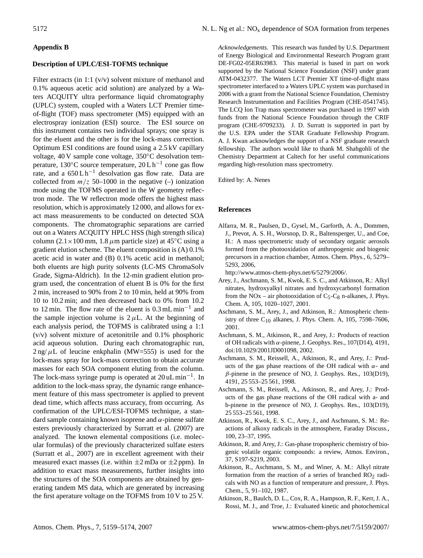# **Appendix B**

## **Description of UPLC/ESI-TOFMS technique**

Filter extracts (in 1:1 (v/v) solvent mixture of methanol and 0.1% aqueous acetic acid solution) are analyzed by a Waters ACQUITY ultra performance liquid chromatography (UPLC) system, coupled with a Waters LCT Premier timeof-flight (TOF) mass spectrometer (MS) equipped with an electrospray ionization (ESI) source. The ESI source on this instrument contains two individual sprays; one spray is for the eluent and the other is for the lock-mass correction. Optimum ESI conditions are found using a 2.5 kV capillary voltage, 40 V sample cone voltage, 350◦C desolvation temperature, 130 $\rm ^{\circ}C$  source temperature, 20 L h<sup>-1</sup> cone gas flow rate, and a  $650 L h^{-1}$  desolvation gas flow rate. Data are collected from  $m/z$  50–1000 in the negative (–) ionization mode using the TOFMS operated in the W geometry reflectron mode. The W reflectron mode offers the highest mass resolution, which is approximately 12 000, and allows for exact mass measurements to be conducted on detected SOA components. The chromatographic separations are carried out on a Waters ACQUITY HPLC HSS (high strength silica) column (2.1×100 mm, 1.8  $\mu$ m particle size) at 45°C using a gradient elution scheme. The eluent composition is (A) 0.1% acetic acid in water and (B) 0.1% acetic acid in methanol; both eluents are high purity solvents (LC-MS ChromaSolv Grade, Sigma-Aldrich). In the 12-min gradient elution program used, the concentration of eluent B is 0% for the first 2 min, increased to 90% from 2 to 10 min, held at 90% from 10 to 10.2 min; and then decreased back to 0% from 10.2 to 12 min. The flow rate of the eluent is  $0.3 \text{ mL min}^{-1}$  and the sample injection volume is  $2 \mu L$ . At the beginning of each analysis period, the TOFMS is calibrated using a 1:1 (v/v) solvent mixture of acetonitrile and 0.1% phosphoric acid aqueous solution. During each chromatographic run,  $2 \text{ ng}/\mu\text{L}$  of leucine enkphalin (MW=555) is used for the lock-mass spray for lock-mass correction to obtain accurate masses for each SOA component eluting from the column. The lock-mass syringe pump is operated at 20 uL min−<sup>1</sup> . In addition to the lock-mass spray, the dynamic range enhancement feature of this mass spectrometer is applied to prevent dead time, which affects mass accuracy, from occurring. As confirmation of the UPLC/ESI-TOFMS technique, a standard sample containing known isoprene and  $\alpha$ -pinene sulfate esters previously characterized by Surratt et al. (2007) are analyzed. The known elemental compositions (i.e. molecular formulas) of the previously characterized sulfate esters (Surratt et al., 2007) are in excellent agreement with their measured exact masses (i.e. within  $\pm 2$  mDa or  $\pm 2$  ppm). In addition to exact mass measurements, further insights into the structures of the SOA components are obtained by generating tandem MS data, which are generated by increasing the first aperature voltage on the TOFMS from 10 V to 25 V.

*Acknowledgements.* This research was funded by U.S. Department of Energy Biological and Environmental Research Program grant DE-FG02-05ER63983. This material is based in part on work supported by the National Science Foundation (NSF) under grant ATM-0432377. The Waters LCT Premier XT time-of-flight mass spectrometer interfaced to a Waters UPLC system was purchased in 2006 with a grant from the National Science Foundation, Chemistry Research Instrumentation and Facilities Program (CHE-0541745). The LCQ Ion Trap mass spectrometer was purchased in 1997 with funds from the National Science Foundation through the CRIF program (CHE-9709233). J. D. Surratt is supported in part by the U.S. EPA under the STAR Graduate Fellowship Program. A. J. Kwan acknowledges the support of a NSF graduate research fellowship. The authors would like to thank M. Shahgohli of the Chemistry Department at Caltech for her useful communications regarding high-resolution mass spectrometry.

Edited by: A. Nenes

### **References**

Alfarra, M. R., Paulsen, D., Gysel, M., Garforth, A. A., Dommen, J., Prevot, A. S. H., Worsnop, D. R., Baltensperger, U., and Coe, H.: A mass spectrometric study of secondary organic aerosols formed from the photooxidation of anthropogenic and biogenic precursors in a reaction chamber, Atmos. Chem. Phys., 6, 5279– 5293, 2006,

[http://www.atmos-chem-phys.net/6/5279/2006/.](http://www.atmos-chem-phys.net/6/5279/2006/)

- Arey, J., Aschmann, S. M., Kwok, E. S. C., and Atkinson, R.: Alkyl nitrates, hydroxyalkyl nitrates and hydroxycarbonyl formation from the NOx – air photooxidation of  $C_5-C_8$  n-alkanes, J. Phys. Chem. A, 105, 1020–1027, 2001.
- Aschmann, S. M., Arey, J., and Atkinson, R.: Atmospheric chemistry of three  $C_{10}$  alkanes, J. Phys. Chem. A, 105, 7598–7606, 2001.
- Aschmann, S. M., Atkinson, R., and Arey, J.: Products of reaction of OH radicals with α-pinene, J. Geophys. Res., 107(D14), 4191, doi:10.1029/2001JD001098, 2002.
- Aschmann, S. M., Reissell, A., Atkinson, R., and Arey, J.: Products of the gas phase reactions of the OH radical with  $\alpha$ - and  $\beta$ -pinene in the presence of NO, J. Geophys. Res., 103(D19), 4191, 25 553–25 561, 1998.
- Aschmann, S. M., Reissell, A., Atkinson, R., and Arey, J.: Products of the gas phase reactions of the OH radical with a- and b-pinene in the presence of NO, J. Geophys. Res., 103(D19), 25 553–25 561, 1998.
- Atkinson, R., Kwok, E. S. C., Arey, J., and Aschmann, S. M.: Reactions of alkoxy radicals in the atmosphere, Faraday Discuss., 100, 23–37, 1995.
- Atkinson, R. and Arey, J.: Gas-phase tropospheric chemistry of biogenic volatile organic compounds: a review, Atmos. Environ., 37, S197-S219, 2003.
- Atkinson, R., Aschmann, S. M., and Winer, A. M.: Alkyl nitrate formation from the reaction of a series of branched  $RO<sub>2</sub>$  radicals with NO as a function of temperature and pressure, J. Phys. Chem., 5, 91–102, 1987.
- Atkinson, R., Baulch, D. L., Cox, R. A., Hampson, R. F., Kerr, J. A., Rossi, M. J., and Troe, J.: Evaluated kinetic and photochemical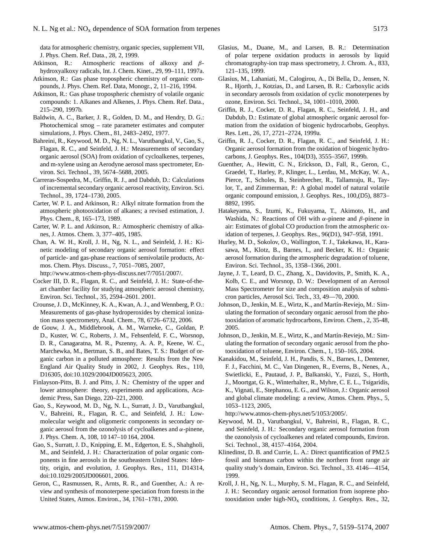data for atmospheric chemistry, organic species, supplement VII, J. Phys. Chem. Ref. Data., 28, 2, 1999.

- Atkinson, R.: Atmospheric reactions of alkoxy and βhydroxyalkoxy radicals, Int. J. Chem. Kinet., 29, 99–111, 1997a.
- Atkinson, R.: Gas phase tropospheric chemistry of organic compounds, J. Phys. Chem. Ref. Data, Monogr., 2, 11–216, 1994.
- Atkinson, R.: Gas phase tropospheric chemistry of volatile organic compounds: 1. Alkanes and Alkenes, J. Phys. Chem. Ref. Data., 215–290, 1997b.
- Baldwin, A. C., Barker, J. R., Golden, D. M., and Hendry, D. G.: Photochemical smog – rate parameter estimates and computer simulations, J. Phys. Chem., 81, 2483–2492, 1977.
- Bahreini, R., Keywood, M. D., Ng, N. L., Varutbangkul, V., Gao, S., Flagan, R. C., and Seinfeld, J. H.: Measurements of secondary organic aerosol (SOA) from oxidation of cycloalkenes, terpenes, and m-xylene using an Aerodyne aerosol mass spectrometer, Environ. Sci. Technol., 39, 5674–5688, 2005.
- Carreras-Sospedra, M., Griffin, R. J., and Dabdub, D.: Calculations of incremental secondary organic aerosol reactivity, Environ. Sci. Technol., 39, 1724–1730, 2005.
- Carter, W. P. L. and Atkinson, R.: Alkyl nitrate formation from the atmospheric photooxidation of alkanes; a revised estimation, J. Phys. Chem., 8, 165–173, 1989.
- Carter, W. P. L. and Atkinson, R.: Atmospheric chemistry of alkanes, J. Atmos. Chem. 3, 377–405, 1985.
- Chan, A. W. H., Kroll, J. H., Ng, N. L., and Seinfeld, J. H.: Kinetic modeling of secondary organic aerosol formation: effect of particle- and gas-phase reactions of semivolatile products, Atmos. Chem. Phys. Discuss., 7, 7051–7085, 2007,
- [http://www.atmos-chem-phys-discuss.net/7/7051/2007/.](http://www.atmos-chem-phys-discuss.net/7/7051/2007/)
- Cocker III, D. R., Flagan, R. C., and Seinfeld, J. H.: State-of-theart chamber facility for studying atmospheric aerosol chemistry, Environ. Sci. Technol., 35, 2594–2601. 2001.
- Crounse, J. D., McKinney, K. A., Kwan, A. J., and Wennberg, P. O.: Measurements of gas-phase hydroperoxides by chemical ionization mass spectrometry, Anal. Chem., 78, 6726–6732, 2006.
- de Gouw, J. A., Middlebrook, A. M., Warneke, C., Goldan, P. D., Kuster, W. C., Roberts, J. M., Fehsenfeld, F. C., Worsnop, D. R., Canagaratna, M. R., Pszenny, A. A. P., Keene, W. C., Marchewka, M., Bertman, S. B., and Bates, T. S.: Budget of organic carbon in a polluted atmosphere: Results from the New England Air Quality Study in 2002, J. Geophys. Res., 110, D16305, doi:10.1029/2004JD005623, 2005.
- Finlayson-Pitts, B. J. and Pitts, J. N.: Chemistry of the upper and lower atmosphere: theory, experiments and applications, Academic Press, San Diego, 220–221, 2000.
- Gao, S., Keywood, M. D., Ng, N. L., Surratt, J. D., Varutbangkul, V., Bahreini, R., Flagan, R. C., and Seinfeld, J. H.: Lowmolecular weight and oligomeric components in secondary organic aerosol from the ozonolysis of cycloalkenes and  $\alpha$ -pinene, J. Phys. Chem. A, 108, 10 147–10 164, 2004.
- Gao, S., Surratt, J. D., Knipping, E. M., Edgerton, E. S., Shahgholi, M., and Seinfeld, J. H.: Characterization of polar organic components in fine aerosols in the southeastern United States: Identity, origin, and evolution, J. Geophys. Res., 111, D14314, doi:10.1029/2005JD006601, 2006.
- Geron, C., Rasmussen, R., Arnts, R. R., and Guenther, A.: A review and synthesis of monoterpene speciation from forests in the United States, Atmos. Environ., 34, 1761–1781, 2000.
- Glasius, M., Duane, M., and Larsen, B. R.: Determination of polar terpene oxidation products in aerosols by liquid chromatography-ion trap mass spectrometry, J. Chrom. A., 833, 121–135, 1999.
- Glasius, M., Lahaniati, M., Calogirou, A., Di Bella, D., Jensen, N. R., Hjorth, J., Kotzias, D., and Larsen, B. R.: Carboxylic acids in secondary aerosols from oxidation of cyclic monoterpenes by ozone, Environ. Sci. Technol., 34, 1001–1010, 2000.
- Griffin, R. J., Cocker, D. R., Flagan, R. C., Seinfeld, J. H., and Dabdub, D.: Estimate of global atmospheric organic aerosol formation from the oxidation of biogenic hydrocarbobs, Geophys. Res. Lett., 26, 17, 2721–2724, 1999a.
- Griffin, R. J., Cocker, D. R., Flagan, R. C., and Seinfeld, J. H.: Organic aerosol formation from the oxidation of biogenic hydrocarbons, J. Geophys. Res., 104(D3), 3555–3567, 1999b.
- Guenther, A., Hewitt, C. N., Erickson, D., Fall, R., Geron, C., Graedel, T., Harley, P., Klinger, L., Lerdau, M., McKay, W. A., Pierce, T., Scholes, B., Steinbrecher, R., Tallamraju, R., Taylor, T., and Zimmerman, P.: A global model of natural volatile organic compound emission, J. Geophys. Res., 100,(D5), 8873– 8892, 1995.
- Hatakeyama, S., Izumi, K., Fukuyama, T., Akimoto, H., and Washida, N.: Reactions of OH with  $\alpha$ -pinene and  $\beta$ -pinene in air: Estimates of global CO production from the atmospheric oxidation of terpenes, J. Geophys. Res., 96(D1), 947–958, 1991.
- Hurley, M. D., Sokolov, O., Wallington, T. J., Takekawa, H., Karasawa, M., Klotz, B., Barnes, I., and Becker, K. H.: Organic aerosol formation during the atmospheric degradation of toluene, Environ. Sci. Technol., 35, 1358–1366, 2001.
- Jayne, J. T., Leard, D. C., Zhang, X., Davidovits, P., Smith, K. A., Kolb, C. E., and Worsnop, D. W.: Development of an Aerosol Mass Spectrometer for size and composition analysis of submicron particles, Aerosol Sci. Tech., 33, 49—70, 2000.
- Johnson, D., Jenkin, M. E., Wirtz, K., and Martín-Reviejo, M.: Simulating the formation of secondary organic aerosol from the photooxidation of aromatic hydrocarbons, Environ. Chem., 2, 35-48, 2005.
- Johnson, D., Jenkin, M. E., Wirtz, K., and Martín-Reviejo, M.: Simulating the formation of secondary organic aerosol from the photooxidation of toluene, Environ. Chem., 1, 150–165, 2004.
- Kanakidou, M., Seinfeld, J. H., Pandis, S. N., Barnes, I., Dentener, F. J., Facchini, M. C., Van Dingenen, R., Everns, B., Nenes, A., Swietlicki, E., Pautaud, J. P., Balkanski, Y., Fuzzi, S., Horth, J., Moortgat, G. K., Winterhalter, R., Myhre, C. E. L., Tsigaridis, K., Vignati, E., Stephanou, E. G., and Wilson, J.: Organic aerosol and global climate modeling: a review, Atmos. Chem. Phys., 5, 1053–1123, 2005,

[http://www.atmos-chem-phys.net/5/1053/2005/.](http://www.atmos-chem-phys.net/5/1053/2005/)

- Keywood, M. D., Varutbangkul, V., Bahreini, R., Flagan, R. C., and Seinfeld, J. H.: Secondary organic aerosol formation from the ozonolysis of cycloalkenes and related compounds, Environ. Sci. Technol., 38, 4157–4164, 2004.
- Klinedinst, D. B. and Currie, L. A.: Direct quantification of PM2.5 fossil and biomass carbon within the northern front range air quality study's domain, Environ. Sci. Technol., 33. 4146—4154, 1999.
- Kroll, J. H., Ng, N. L., Murphy, S. M., Flagan, R. C., and Seinfeld, J. H.: Secondary organic aerosol formation from isoprene photooxidation under high- $NO<sub>x</sub>$  conditions, J. Geophys. Res., 32,